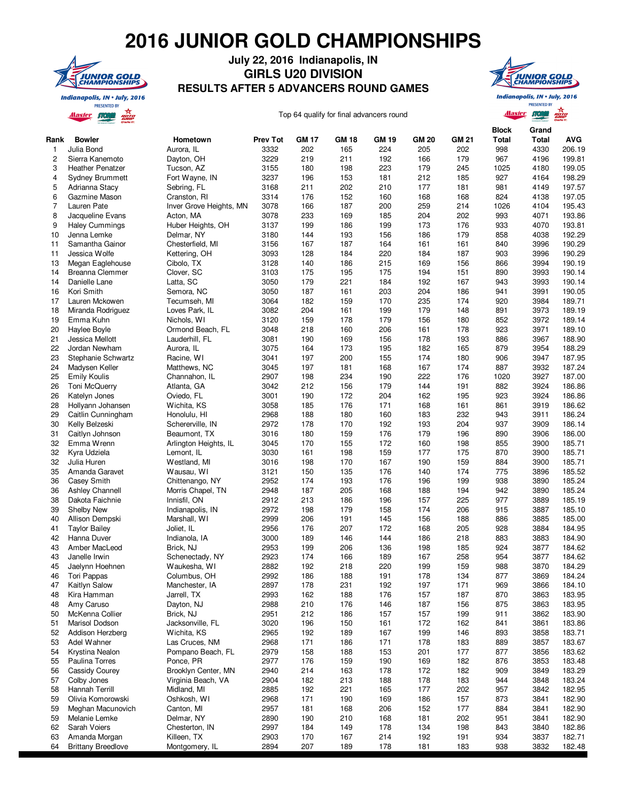## **2016 JUNIOR GOLD CHAMPIONSHIPS**



## **July 22, 2016 Indianapolis, IN GIRLS U20 DIVISION RESULTS AFTER 5 ADVANCERS ROUND GAMES**



**Alaster STORM** 

**PRESENTED BY** 

Rota

Top 64 qualify for final advancers round

|           |                                       |                                 |                         | <b>GM 17</b> |                     |                     |                     |              | <b>Block</b> | Grand         |                      |
|-----------|---------------------------------------|---------------------------------|-------------------------|--------------|---------------------|---------------------|---------------------|--------------|--------------|---------------|----------------------|
| Rank<br>1 | <b>Bowler</b><br>Julia Bond           | Hometown<br>Aurora, IL          | <b>Prev Tot</b><br>3332 | 202          | <b>GM 18</b><br>165 | <b>GM 19</b><br>224 | <b>GM 20</b><br>205 | GM 21<br>202 | Total<br>998 | Total<br>4330 | <b>AVG</b><br>206.19 |
| 2         | Sierra Kanemoto                       | Dayton, OH                      | 3229                    | 219          | 211                 | 192                 | 166                 | 179          | 967          | 4196          | 199.81               |
| 3         | <b>Heather Penatzer</b>               | Tucson, AZ                      | 3155                    | 180          | 198                 | 223                 | 179                 | 245          | 1025         | 4180          | 199.05               |
| 4         | <b>Sydney Brummett</b>                | Fort Wayne, IN                  | 3237                    | 196          | 153                 | 181                 | 212                 | 185          | 927          | 4164          | 198.29               |
| 5         | Adrianna Stacy                        | Sebring, FL                     | 3168                    | 211          | 202                 | 210                 | 177                 | 181          | 981          | 4149          | 197.57               |
| 6         | Gazmine Mason                         | Cranston, RI                    | 3314                    | 176          | 152                 | 160                 | 168                 | 168          | 824          | 4138          | 197.05               |
| 7         | Lauren Pate                           | Inver Grove Heights, MN         | 3078                    | 166          | 187                 | 200                 | 259                 | 214          | 1026         | 4104          | 195.43               |
| 8         | Jacqueline Evans                      | Acton, MA                       | 3078                    | 233          | 169                 | 185                 | 204                 | 202          | 993          | 4071          | 193.86               |
| 9         | <b>Haley Cummings</b>                 | Huber Heights, OH               | 3137                    | 199          | 186                 | 199                 | 173                 | 176          | 933          | 4070          | 193.81               |
| 10        | Jenna Lemke                           | Delmar, NY                      | 3180                    | 144          | 193                 | 156                 | 186                 | 179          | 858          | 4038          | 192.29               |
| 11        | Samantha Gainor                       | Chesterfield, MI                | 3156                    | 167          | 187                 | 164                 | 161                 | 161          | 840          | 3996          | 190.29               |
| 11        | Jessica Wolfe                         | Kettering, OH                   | 3093                    | 128          | 184                 | 220                 | 184                 | 187          | 903          | 3996          | 190.29               |
| 13        | Megan Eaglehouse                      | Cibolo, TX                      | 3128                    | 140          | 186                 | 215                 | 169                 | 156          | 866          | 3994          | 190.19               |
| 14        | Breanna Clemmer                       | Clover, SC                      | 3103                    | 175          | 195                 | 175                 | 194                 | 151          | 890          | 3993          | 190.14               |
| 14        | Danielle Lane                         | Latta, SC                       | 3050                    | 179          | 221                 | 184                 | 192                 | 167          | 943          | 3993          | 190.14               |
| 16        | Kori Smith                            | Semora, NC                      | 3050                    | 187          | 161                 | 203                 | 204                 | 186          | 941          | 3991          | 190.05               |
| 17        | Lauren Mckowen                        | Tecumseh, MI                    | 3064                    | 182          | 159                 | 170                 | 235                 | 174          | 920          | 3984          | 189.71               |
| 18        | Miranda Rodriguez                     | Loves Park, IL                  | 3082                    | 204          | 161                 | 199                 | 179                 | 148          | 891          | 3973          | 189.19               |
| 19        | Emma Kuhn                             | Nichols, W1                     | 3120                    | 159          | 178                 | 179                 | 156                 | 180          | 852          | 3972          | 189.14               |
| 20        | Haylee Boyle                          | Ormond Beach, FL                | 3048                    | 218          | 160                 | 206                 | 161                 | 178          | 923          | 3971          | 189.10               |
| 21        | Jessica Mellott                       | Lauderhill, FL                  | 3081                    | 190          | 169                 | 156                 | 178                 | 193          | 886          | 3967          | 188.90               |
| 22        | Jordan Newham                         | Aurora, IL                      | 3075                    | 164          | 173                 | 195                 | 182                 | 165          | 879          | 3954          | 188.29               |
| 23        | Stephanie Schwartz                    | Racine, WI                      | 3041                    | 197          | 200                 | 155                 | 174                 | 180          | 906          | 3947          | 187.95               |
| 24<br>25  | Madysen Keller<br><b>Emily Koulis</b> | Matthews, NC                    | 3045<br>2907            | 197<br>198   | 181<br>234          | 168                 | 167<br>222          | 174<br>176   | 887<br>1020  | 3932<br>3927  | 187.24<br>187.00     |
| 26        | Toni McQuerry                         | Channahon, IL<br>Atlanta, GA    | 3042                    | 212          | 156                 | 190<br>179          | 144                 | 191          | 882          | 3924          | 186.86               |
| 26        | Katelyn Jones                         | Oviedo, FL                      | 3001                    | 190          | 172                 | 204                 | 162                 | 195          | 923          | 3924          | 186.86               |
| 28        | Hollyann Johansen                     | Wichita, KS                     | 3058                    | 185          | 176                 | 171                 | 168                 | 161          | 861          | 3919          | 186.62               |
| 29        | Caitlin Cunningham                    | Honolulu, HI                    | 2968                    | 188          | 180                 | 160                 | 183                 | 232          | 943          | 3911          | 186.24               |
| 30        | Kelly Belzeski                        | Schererville, IN                | 2972                    | 178          | 170                 | 192                 | 193                 | 204          | 937          | 3909          | 186.14               |
| 31        | Caitlyn Johnson                       | Beaumont, TX                    | 3016                    | 180          | 159                 | 176                 | 179                 | 196          | 890          | 3906          | 186.00               |
| 32        | Emma Wrenn                            | Arlington Heights, IL           | 3045                    | 170          | 155                 | 172                 | 160                 | 198          | 855          | 3900          | 185.71               |
| 32        | Kyra Udziela                          | Lemont, IL                      | 3030                    | 161          | 198                 | 159                 | 177                 | 175          | 870          | 3900          | 185.71               |
| 32        | Julia Huren                           | Westland, MI                    | 3016                    | 198          | 170                 | 167                 | 190                 | 159          | 884          | 3900          | 185.71               |
| 35        | Amanda Garavet                        | Wausau, WI                      | 3121                    | 150          | 135                 | 176                 | 140                 | 174          | 775          | 3896          | 185.52               |
| 36        | <b>Casey Smith</b>                    | Chittenango, NY                 | 2952                    | 174          | 193                 | 176                 | 196                 | 199          | 938          | 3890          | 185.24               |
| 36        | <b>Ashley Channell</b>                | Morris Chapel, TN               | 2948                    | 187          | 205                 | 168                 | 188                 | 194          | 942          | 3890          | 185.24               |
| 38        | Dakota Faichnie                       | Innisfil, ON                    | 2912                    | 213          | 186                 | 196                 | 157                 | 225          | 977          | 3889          | 185.19               |
| 39        | Shelby New                            | Indianapolis, IN                | 2972                    | 198          | 179                 | 158                 | 174                 | 206          | 915          | 3887          | 185.10               |
| 40        | Allison Dempski                       | Marshall, WI                    | 2999                    | 206          | 191                 | 145                 | 156                 | 188          | 886          | 3885          | 185.00               |
| 41        | <b>Taylor Bailey</b>                  | Joliet, IL                      | 2956                    | 176          | 207                 | 172                 | 168                 | 205          | 928          | 3884          | 184.95               |
| 42        | Hanna Duver                           | Indianola, IA                   | 3000                    | 189          | 146                 | 144                 | 186                 | 218          | 883          | 3883          | 184.90               |
| 43        | Amber MacLeod                         | Brick, NJ                       | 2953                    | 199          | 206                 | 136                 | 198                 | 185          | 924          | 3877          | 184.62               |
| 43        | Janelle Irwin                         | Schenectady, NY                 | 2923                    | 174          | 166                 | 189                 | 167                 | 258          | 954          | 3877          | 184.62               |
| 45        | Jaelynn Hoehnen                       | Waukesha, WI                    | 2882                    | 192          | 218                 | 220                 | 199                 | 159          | 988          | 3870          | 184.29               |
| 46        | Tori Pappas                           | Columbus, OH                    | 2992                    | 186          | 188                 | 191                 | 178                 | 134          | 877          | 3869          | 184.24               |
| 47        | Kaitlyn Salow                         | Manchester, IA                  | 2897                    | 178          | 231                 | 192                 | 197                 | 171          | 969          | 3866          | 184.10               |
| 48        | Kira Hamman                           | Jarrell, TX                     | 2993                    | 162          | 188                 | 176                 | 157                 | 187          | 870          | 3863          | 183.95               |
| 48        | Amy Caruso                            | Dayton, NJ                      | 2988                    | 210<br>212   | 176                 | 146                 | 187                 | 156          | 875          | 3863          | 183.95               |
| 50        | McKenna Collier                       | Brick, NJ                       | 2951                    |              | 186                 | 157                 | 157                 | 199          | 911          | 3862          | 183.90               |
| 51<br>52  | Marisol Dodson<br>Addison Herzberg    | Jacksonville, FL<br>Wichita, KS | 3020<br>2965            | 196<br>192   | 150                 | 161                 | 172<br>199          | 162<br>146   | 841<br>893   | 3861          | 183.86<br>183.71     |
| 53        | Adel Wahner                           | Las Cruces, NM                  | 2968                    | 171          | 189<br>186          | 167<br>171          | 178                 | 183          | 889          | 3858<br>3857  | 183.67               |
| 54        | Krystina Nealon                       | Pompano Beach, FL               | 2979                    | 158          | 188                 | 153                 | 201                 | 177          | 877          | 3856          | 183.62               |
| 55        | Paulina Torres                        | Ponce, PR                       | 2977                    | 176          | 159                 | 190                 | 169                 | 182          | 876          | 3853          | 183.48               |
| 56        | Cassidy Courey                        | Brooklyn Center, MN             | 2940                    | 214          | 163                 | 178                 | 172                 | 182          | 909          | 3849          | 183.29               |
| 57        | Colby Jones                           | Virginia Beach, VA              | 2904                    | 182          | 213                 | 188                 | 178                 | 183          | 944          | 3848          | 183.24               |
| 58        | Hannah Terrill                        | Midland, MI                     | 2885                    | 192          | 221                 | 165                 | 177                 | 202          | 957          | 3842          | 182.95               |
| 59        | Olivia Komorowski                     | Oshkosh, WI                     | 2968                    | 171          | 190                 | 169                 | 186                 | 157          | 873          | 3841          | 182.90               |
| 59        | Meghan Macunovich                     | Canton, MI                      | 2957                    | 181          | 168                 | 206                 | 152                 | 177          | 884          | 3841          | 182.90               |
| 59        | Melanie Lemke                         | Delmar, NY                      | 2890                    | 190          | 210                 | 168                 | 181                 | 202          | 951          | 3841          | 182.90               |
| 62        | Sarah Voiers                          | Chesterton, IN                  | 2997                    | 184          | 149                 | 178                 | 134                 | 198          | 843          | 3840          | 182.86               |
| 63        | Amanda Morgan                         | Killeen, TX                     | 2903                    | 170          | 167                 | 214                 | 192                 | 191          | 934          | 3837          | 182.71               |
| 64        | <b>Brittany Breedlove</b>             | Montgomery, IL                  | 2894                    | 207          | 189                 | 178                 | 181                 | 183          | 938          | 3832          | 182.48               |